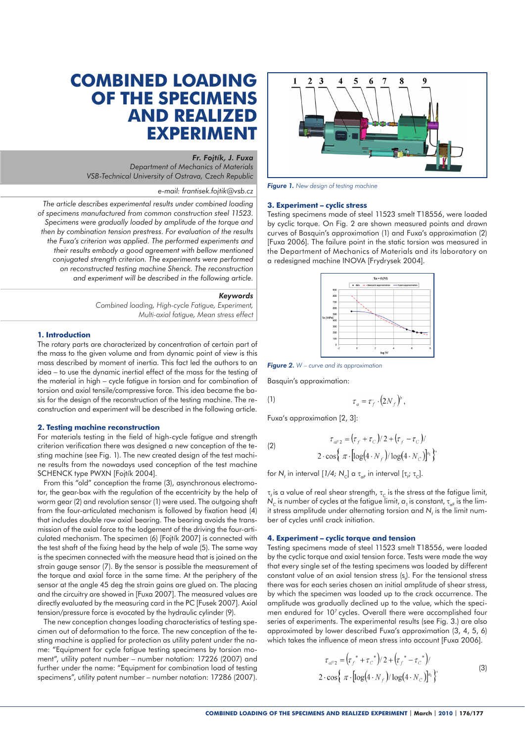# **COMBINED LOADING OF THE SPECIMENS AND REALIZED EXPERIMENT**

## *Fr. Fojtík, J. Fuxa*

*Department of Mechanics of Materials VSB-Technical University of Ostrava, Czech Republic* 

## *e-mail: frantisek.fojtik@vsb.cz*

*The article describes experimental results under combined loading of specimens manufactured from common construction steel 11523. Specimens were gradually loaded by amplitude of the torque and then by combination tension prestress. For evaluation of the results the Fuxa's criterion was applied. The performed experiments and their results embody a good agreement with bellow mentioned conjugated strength criterion. The experiments were performed on reconstructed testing machine Shenck. The reconstruction and experiment will be described in the following article.*

#### *Keywords*

*Combined loading, High-cycle Fatigue, Experiment, Multi-axial fatigue, Mean stress effect*

## **1. Introduction**

The rotary parts are characterized by concentration of certain part of the mass to the given volume and from dynamic point of view is this mass described by moment of inertia. This fact led the authors to an idea – to use the dynamic inertial effect of the mass for the testing of the material in high – cycle fatigue in torsion and for combination of torsion and axial tensile/compressive force. This idea became the basis for the design of the reconstruction of the testing machine. The reconstruction and experiment will be described in the following article.

### **2. Testing machine reconstruction**

For materials testing in the field of high-cycle fatigue and strength criterion verification there was designed a new conception of the testing machine (see Fig. 1). The new created design of the test machine results from the nowadays used conception of the test machine SCHENCK type PWXN [Fojtík 2004].

From this "old" conception the frame (3), asynchronous electromotor, the gear-box with the regulation of the eccentricity by the help of worm gear (2) and revolution sensor (1) were used. The outgoing shaft from the four-articulated mechanism is followed by fixation head (4) that includes double row axial bearing. The bearing avoids the transmission of the axial force to the lodgement of the driving the four-articulated mechanism. The specimen (6) [Fojtík 2007] is connected with the test shaft of the fixing head by the help of wale (5). The same way is the specimen connected with the measure head that is joined on the strain gauge sensor (7). By the sensor is possible the measurement of the torque and axial force in the same time. At the periphery of the sensor at the angle 45 deg the strain gains are glued on. The placing and the circuitry are showed in [Fuxa 2007]. The measured values are directly evaluated by the measuring card in the PC [Fusek 2007]. Axial tension/pressure force is evocated by the hydraulic cylinder (9).

The new conception changes loading characteristics of testing specimen out of deformation to the force. The new conception of the testing machine is applied for protection as utility patent under the name: "Equipment for cycle fatigue testing specimens by torsion moment", utility patent number – number notation: 17226 (2007) and further under the name: "Equipment for combination load of testing specimens", utility patent number – number notation: 17286 (2007).



*Figure 1. New design of testing machine*

#### **3. Experiment – cyclic stress**

Testing specimens made of steel 11523 smelt T18556, were loaded by cyclic torque. On Fig. 2 are shown measured points and drawn curves of Basquin's approximation (1) and Fuxa's approximation (2) [Fuxa 2006]. The failure point in the static torsion was measured in the Department of Mechanics of Materials and its laboratory on a redesigned machine INOVA [Frydrysek 2004].



*Figure 2. W – curve and its approximation*

Basquin's approximation:

$$
\tau_a = \tau_f \cdot (2N_f)^b
$$

Fuxa's approximation [2, 3]:

(2)  
\n
$$
\tau_{aF2} = (\tau_f + \tau_C)/2 + (\tau_f - \tau_C)/2
$$
\n
$$
2 \cdot \cos{\pi \cdot [\log(4 \cdot N_f)/\log(4 \cdot N_C)]^{a_1}};
$$

for *N<sub>f</sub>* in interval [*1/4; N<sub>C</sub>*] α  $\tau_{AF}$  in interval [ $\tau_{f}$ ;  $\tau_{C}$ ].

τ<sub>*i*</sub> is a value of real shear strength, τ<sub>*c*</sub> is the stress at the fatigue limit, *N<sub>C</sub>* is number of cycles at the fatigue limit, *a*<sub>1</sub> is constant, *τ<sub>aF</sub>* is the limit stress amplitude under alternating torsion and  $N_f$  is the limit number of cycles until crack initiation.

# **4. Experiment – cyclic torque and tension**

Testing specimens made of steel 11523 smelt T18556, were loaded by the cyclic torque and axial tension force. Tests were made the way that every single set of the testing specimens was loaded by different constant value of an axial tension stress  $(s<sub>i</sub>)$ . For the tensional stress there was for each series chosen an initial amplitude of shear stress, by which the specimen was loaded up to the crack occurrence. The amplitude was gradually declined up to the value, which the specimen endured for 107 cycles. Overall there were accomplished four series of experiments. The experimental results (see Fig. 3.) are also approximated by lower described Fuxa's approximation (3, 4, 5, 6) which takes the influence of mean stress into account [Fuxa 2006].

$$
\tau_{aF2} = (\tau_f^* + \tau_c^*)/2 + (\tau_f^* - \tau_c^*)/
$$
  
2 \cdot cos {  $\pi \cdot [\log(4 \cdot N_f)/\log(4 \cdot N_c)]^{a_1}$  } (3)